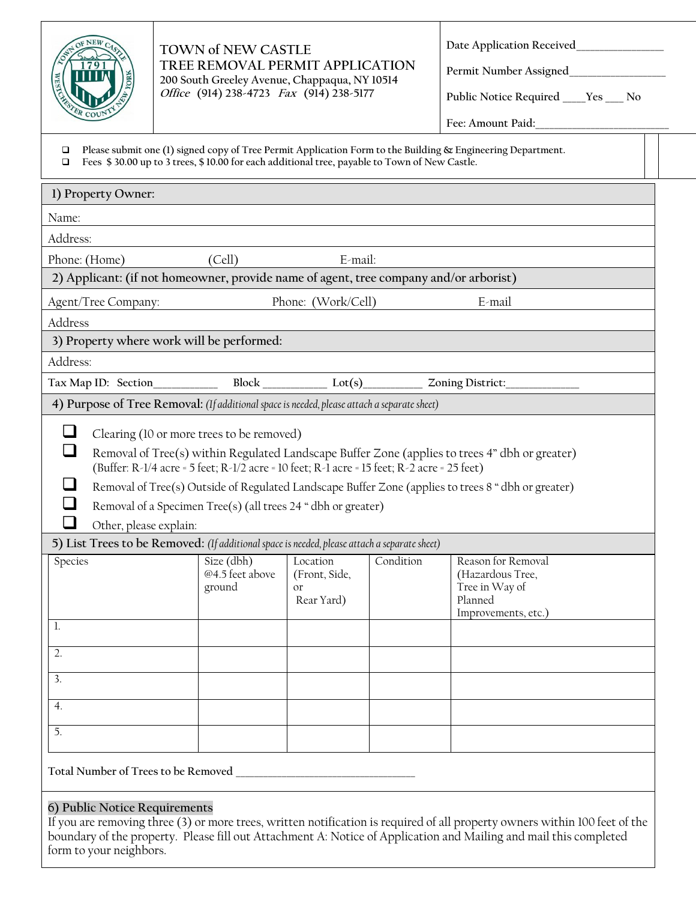

#### **TOWN of NEW CASTLE TREE REMOVAL PERMIT APPLICATION 200 South Greeley Avenue, Chappaqua, NY 10514 Office (914) 238-4723 Fax (914) 238-5177**

**Date Application Received\_\_\_\_\_\_\_\_\_\_\_\_\_\_\_\_\_\_\_**

Permit Number Assigned\_

**Public Notice Required \_\_\_\_\_Yes \_\_\_\_ No**

**Fee: Amount Paid:\_\_\_\_\_\_\_\_\_\_\_\_\_\_\_\_\_\_\_\_\_\_\_\_\_\_\_\_\_**

**Please submit one (1) signed copy of Tree Permit Application Form to the Building & Engineering Department.**<br> **Plushed & 30.000 up to 3 trees \$ 10.00 for each additional tree, payable to Town of New Castle** 

| $\Box$ Fees \$30.00 up to 3 trees, \$10.00 for each additional tree, payable to Town of New Castle. |  |
|-----------------------------------------------------------------------------------------------------|--|
|-----------------------------------------------------------------------------------------------------|--|

| 1) Property Owner:                                                                                                                                                                                    |                                         |                                               |           |                                                                                                    |
|-------------------------------------------------------------------------------------------------------------------------------------------------------------------------------------------------------|-----------------------------------------|-----------------------------------------------|-----------|----------------------------------------------------------------------------------------------------|
| Name:                                                                                                                                                                                                 |                                         |                                               |           |                                                                                                    |
| Address:                                                                                                                                                                                              |                                         |                                               |           |                                                                                                    |
| Phone: (Home)                                                                                                                                                                                         | (Cell)                                  | E-mail:                                       |           |                                                                                                    |
| 2) Applicant: (if not homeowner, provide name of agent, tree company and/or arborist)                                                                                                                 |                                         |                                               |           |                                                                                                    |
| Agent/Tree Company:                                                                                                                                                                                   |                                         | Phone: (Work/Cell)                            |           | E-mail                                                                                             |
| Address                                                                                                                                                                                               |                                         |                                               |           |                                                                                                    |
| 3) Property where work will be performed:                                                                                                                                                             |                                         |                                               |           |                                                                                                    |
| Address:                                                                                                                                                                                              |                                         |                                               |           |                                                                                                    |
|                                                                                                                                                                                                       |                                         |                                               |           |                                                                                                    |
| 4) Purpose of Tree Removal: (If additional space is needed, please attach a separate sheet)                                                                                                           |                                         |                                               |           |                                                                                                    |
| Clearing (10 or more trees to be removed)                                                                                                                                                             |                                         |                                               |           |                                                                                                    |
| (Buffer: R-1/4 acre = 5 feet; R-1/2 acre = 10 feet; R-1 acre = 15 feet; R-2 acre = 25 feet)                                                                                                           |                                         |                                               |           | Removal of Tree(s) within Regulated Landscape Buffer Zone (applies to trees 4" dbh or greater)     |
|                                                                                                                                                                                                       |                                         |                                               |           | Removal of Tree(s) Outside of Regulated Landscape Buffer Zone (applies to trees 8 "dbh or greater) |
| Removal of a Specimen Tree(s) (all trees 24 " dbh or greater)                                                                                                                                         |                                         |                                               |           |                                                                                                    |
| Other, please explain:                                                                                                                                                                                |                                         |                                               |           |                                                                                                    |
| 5) List Trees to be Removed: (If additional space is needed, please attach a separate sheet)                                                                                                          |                                         |                                               |           |                                                                                                    |
| Species<br>1.                                                                                                                                                                                         | Size (dbh)<br>@4.5 feet above<br>ground | Location<br>(Front, Side,<br>or<br>Rear Yard) | Condition | Reason for Removal<br>(Hazardous Tree,<br>Tree in Way of<br>Planned<br>Improvements, etc.)         |
| $\overline{2}$ .<br>3.                                                                                                                                                                                |                                         |                                               |           |                                                                                                    |
| 4.                                                                                                                                                                                                    |                                         |                                               |           |                                                                                                    |
| 5.                                                                                                                                                                                                    |                                         |                                               |           |                                                                                                    |
| Total Number of Trees to be Removed _<br>6) Public Notice Requirements<br>If you are removing three (3) or more trees, written notification is required of all property owners within 100 feet of the |                                         |                                               |           |                                                                                                    |
| boundary of the property. Please fill out Attachment A: Notice of Application and Mailing and mail this completed                                                                                     |                                         |                                               |           |                                                                                                    |

form to your neighbors.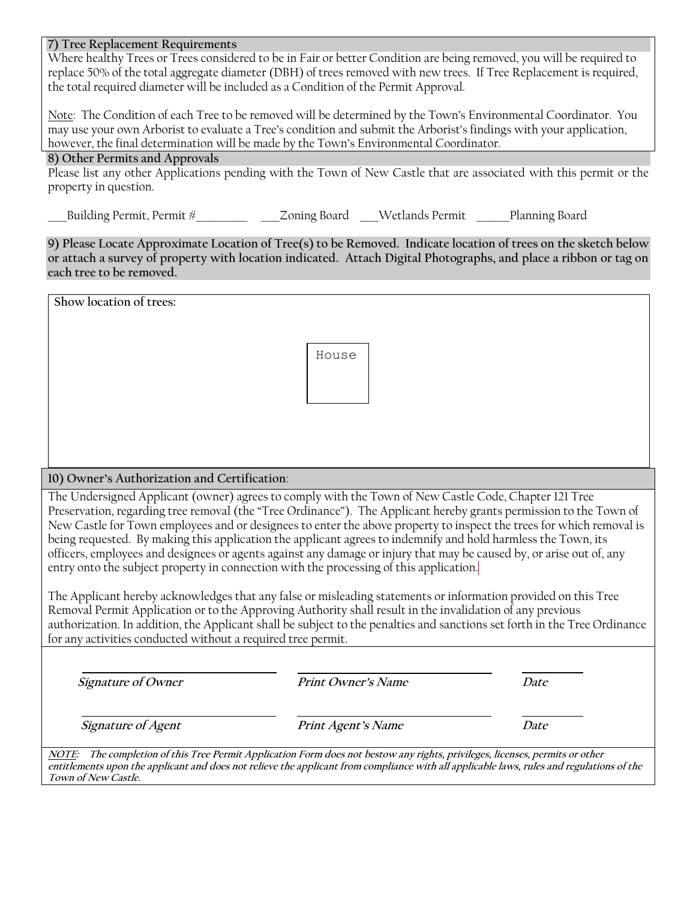### **7) Tree Replacement Requirements**

Where healthy Trees or Trees considered to be in Fair or better Condition are being removed, you will be required to replace 50% of the total aggregate diameter (DBH) of trees removed with new trees. If Tree Replacement is required, the total required diameter will be included as a Condition of the Permit Approval.

Note: The Condition of each Tree to be removed will be determined by the Town's Environmental Coordinator. You may use your own Arborist to evaluate a Tree's condition and submit the Arborist's findings with your application, however, the final determination will be made by the Town's Environmental Coordinator.

## **8) Other Permits and Approvals**

Please list any other Applications pending with the Town of New Castle that are associated with this permit or the property in question.

Building Permit, Permit #  $\qquad$  Zoning Board Wetlands Permit Planning Board

**9) Please Locate Approximate Location of Tree(s) to be Removed. Indicate location of trees on the sketch below or attach a survey of property with location indicated. Attach Digital Photographs, and place a ribbon or tag on each tree to be removed.**

| Show location of trees:                                                                                                                                                                                                                                                                                                                                                                                                                                                                                                                                                                                                                                                                                                                                                                                                                                                                                                                                                                                                                                                                                            |                           |      |  |  |
|--------------------------------------------------------------------------------------------------------------------------------------------------------------------------------------------------------------------------------------------------------------------------------------------------------------------------------------------------------------------------------------------------------------------------------------------------------------------------------------------------------------------------------------------------------------------------------------------------------------------------------------------------------------------------------------------------------------------------------------------------------------------------------------------------------------------------------------------------------------------------------------------------------------------------------------------------------------------------------------------------------------------------------------------------------------------------------------------------------------------|---------------------------|------|--|--|
|                                                                                                                                                                                                                                                                                                                                                                                                                                                                                                                                                                                                                                                                                                                                                                                                                                                                                                                                                                                                                                                                                                                    | House                     |      |  |  |
| 10) Owner's Authorization and Certification:                                                                                                                                                                                                                                                                                                                                                                                                                                                                                                                                                                                                                                                                                                                                                                                                                                                                                                                                                                                                                                                                       |                           |      |  |  |
| The Undersigned Applicant (owner) agrees to comply with the Town of New Castle Code, Chapter 121 Tree<br>Preservation, regarding tree removal (the "Tree Ordinance"). The Applicant hereby grants permission to the Town of<br>New Castle for Town employees and or designees to enter the above property to inspect the trees for which removal is<br>being requested. By making this application the applicant agrees to indemnify and hold harmless the Town, its<br>officers, employees and designees or agents against any damage or injury that may be caused by, or arise out of, any<br>entry onto the subject property in connection with the processing of this application.<br>The Applicant hereby acknowledges that any false or misleading statements or information provided on this Tree<br>Removal Permit Application or to the Approving Authority shall result in the invalidation of any previous<br>authorization. In addition, the Applicant shall be subject to the penalties and sanctions set forth in the Tree Ordinance<br>for any activities conducted without a required tree permit. |                           |      |  |  |
| Signature of Owner                                                                                                                                                                                                                                                                                                                                                                                                                                                                                                                                                                                                                                                                                                                                                                                                                                                                                                                                                                                                                                                                                                 | <b>Print Owner's Name</b> | Date |  |  |
| Signature of Agent                                                                                                                                                                                                                                                                                                                                                                                                                                                                                                                                                                                                                                                                                                                                                                                                                                                                                                                                                                                                                                                                                                 | Print Agent's Name        | Date |  |  |
| NOTE: The completion of this Tree Permit Application Form does not bestow any rights, privileges, licenses, permits or other<br>entitlements upon the applicant and does not relieve the applicant from compliance with all applicable laws, rules and regulations of the<br>Town of New Castle.                                                                                                                                                                                                                                                                                                                                                                                                                                                                                                                                                                                                                                                                                                                                                                                                                   |                           |      |  |  |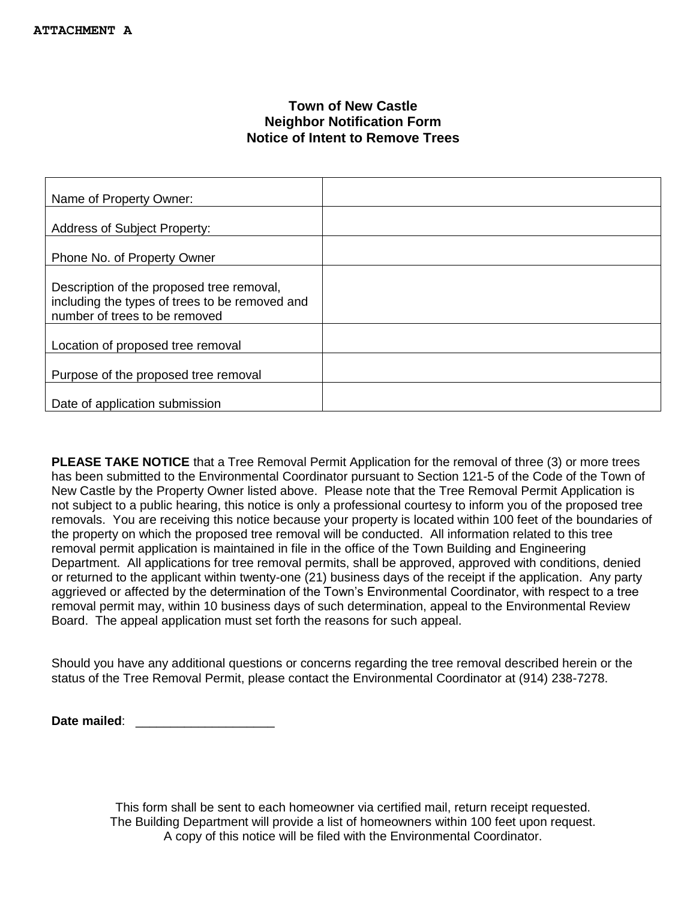# **Town of New Castle Neighbor Notification Form Notice of Intent to Remove Trees**

| Name of Property Owner:                                                                                                      |  |
|------------------------------------------------------------------------------------------------------------------------------|--|
| <b>Address of Subject Property:</b>                                                                                          |  |
| Phone No. of Property Owner                                                                                                  |  |
| Description of the proposed tree removal,<br>including the types of trees to be removed and<br>number of trees to be removed |  |
| Location of proposed tree removal                                                                                            |  |
| Purpose of the proposed tree removal                                                                                         |  |
| Date of application submission                                                                                               |  |

**PLEASE TAKE NOTICE** that a Tree Removal Permit Application for the removal of three (3) or more trees has been submitted to the Environmental Coordinator pursuant to Section 121-5 of the Code of the Town of New Castle by the Property Owner listed above. Please note that the Tree Removal Permit Application is not subject to a public hearing, this notice is only a professional courtesy to inform you of the proposed tree removals. You are receiving this notice because your property is located within 100 feet of the boundaries of the property on which the proposed tree removal will be conducted. All information related to this tree removal permit application is maintained in file in the office of the Town Building and Engineering Department. All applications for tree removal permits, shall be approved, approved with conditions, denied or returned to the applicant within twenty-one (21) business days of the receipt if the application. Any party aggrieved or affected by the determination of the Town's Environmental Coordinator, with respect to a tree removal permit may, within 10 business days of such determination, appeal to the Environmental Review Board. The appeal application must set forth the reasons for such appeal.

Should you have any additional questions or concerns regarding the tree removal described herein or the status of the Tree Removal Permit, please contact the Environmental Coordinator at (914) 238-7278.

**Date mailed:**  $\blacksquare$ 

This form shall be sent to each homeowner via certified mail, return receipt requested. The Building Department will provide a list of homeowners within 100 feet upon request. A copy of this notice will be filed with the Environmental Coordinator.